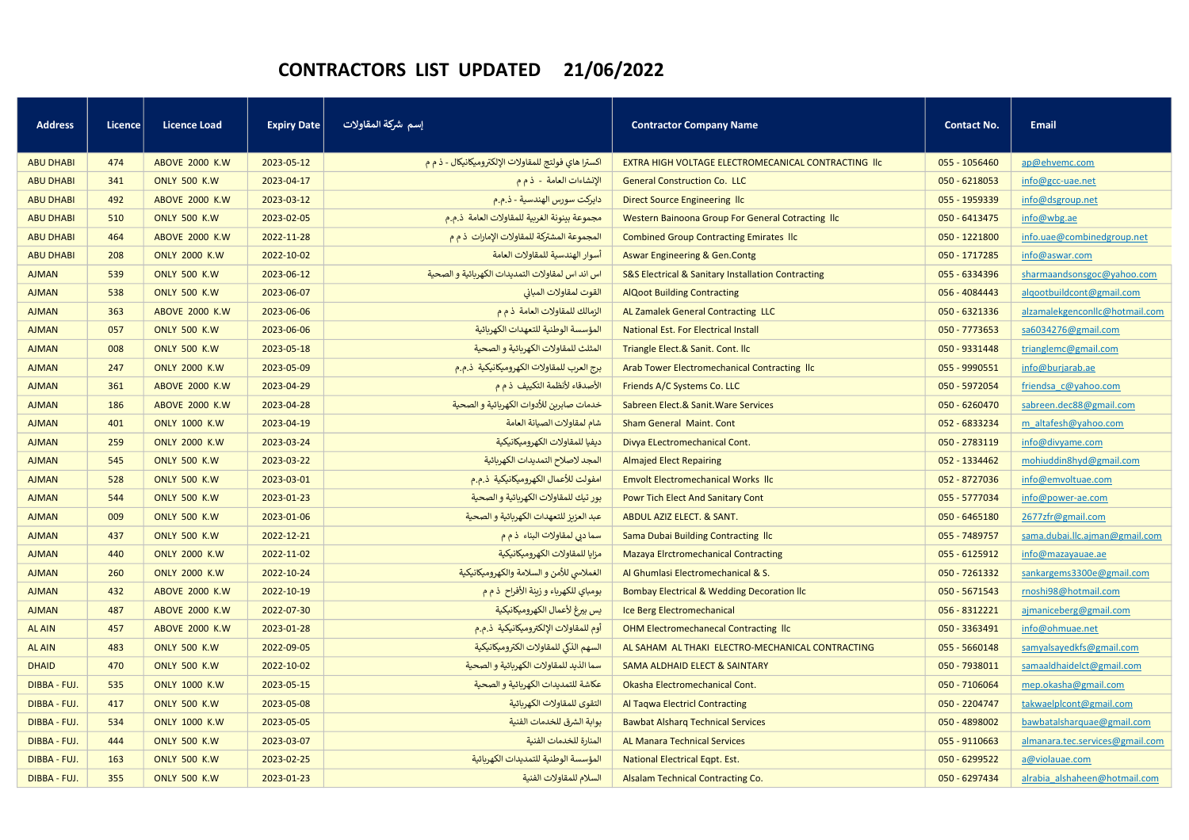## CONTRACTORS LIST UPDATED 21/06/2022

| <b>Address</b>   | Licence | <b>Licence Load</b>    | <b>Expiry Date</b> | إسم شركة المقاولات                                   | <b>Contractor Company Name</b>                        | <b>Contact No.</b> | <b>Email</b>                    |
|------------------|---------|------------------------|--------------------|------------------------------------------------------|-------------------------------------------------------|--------------------|---------------------------------|
|                  |         |                        |                    |                                                      |                                                       |                    |                                 |
| <b>ABU DHABI</b> | 474     | <b>ABOVE 2000 K.W.</b> | 2023-05-12         | اكسترا هاي فولتج للمقاولات الإلكتروميكانيكال - ذ م م | EXTRA HIGH VOLTAGE ELECTROMECANICAL CONTRACTING IIC   | 055 - 1056460      | ap@ehvemc.com                   |
| <b>ABU DHABI</b> | 341     | <b>ONLY 500 K.W</b>    | 2023-04-17         | الإنشاءات العامة - ذ م م                             | <b>General Construction Co. LLC</b>                   | 050 - 6218053      | info@gcc-uae.net                |
| <b>ABU DHABI</b> | 492     | <b>ABOVE 2000 K.W</b>  | 2023-03-12         | دايركت سورس الهندسية - ذ.م.م                         | Direct Source Engineering Ilc                         | 055 - 1959339      | info@dsgroup.net                |
| <b>ABU DHABI</b> | 510     | <b>ONLY 500 K.W</b>    | 2023-02-05         | مجموعة بينونة الغربية للمقاولات العامة ذ.م.م         | Western Bainoona Group For General Cotracting IIc     | 050 - 6413475      | info@wbg.ae                     |
| <b>ABU DHABI</b> | 464     | <b>ABOVE 2000 K.W</b>  | 2022-11-28         | المجموعة المشتركة للمقاولات الإمارات ذ م م           | <b>Combined Group Contracting Emirates IIc</b>        | 050 - 1221800      | info.uae@combinedgroup.net      |
| <b>ABU DHABI</b> | 208     | <b>ONLY 2000 K.W</b>   | 2022-10-02         | أسوار الهندسية للمقاولات العامة                      | <b>Aswar Engineering &amp; Gen.Contg</b>              | 050 - 1717285      | info@aswar.com                  |
| <b>AJMAN</b>     | 539     | <b>ONLY 500 K.W</b>    | 2023-06-12         | اس اند اس لمقاولات التمديدات الكهربائية و الصحية     | S&S Electrical & Sanitary Installation Contracting    | 055 - 6334396      | sharmaandsonsgoc@yahoo.com      |
| <b>AJMAN</b>     | 538     | <b>ONLY 500 K.W</b>    | 2023-06-07         | القوت لمقاولات المبانى                               | <b>AlQoot Building Contracting</b>                    | 056 - 4084443      | algootbuildcont@gmail.com       |
| <b>AJMAN</b>     | 363     | <b>ABOVE 2000 K.W</b>  | 2023-06-06         | الزمالك للمقاولات العامة ذم م                        | AL Zamalek General Contracting LLC                    | 050 - 6321336      | alzamalekgenconllc@hotmail.com  |
| <b>AJMAN</b>     | 057     | <b>ONLY 500 K.W</b>    | 2023-06-06         | المؤسسة الوطنية للتعهدات الكهربائية                  | <b>National Est. For Electrical Install</b>           | 050 - 7773653      | sa6034276@gmail.com             |
| <b>AJMAN</b>     | 008     | <b>ONLY 500 K.W.</b>   | 2023-05-18         | المثلث للمقاولات الكهربائية و الصحية                 | Triangle Elect.& Sanit. Cont. Ilc                     | 050 - 9331448      | trianglemc@gmail.com            |
| <b>AJMAN</b>     | 247     | <b>ONLY 2000 K.W.</b>  | 2023-05-09         | برج العرب للمقاولات الكهروميكانيكية  ذ.م.م           | Arab Tower Electromechanical Contracting IIc          | 055 - 9990551      | info@burjarab.ae                |
| <b>AJMAN</b>     | 361     | <b>ABOVE 2000 K.W</b>  | 2023-04-29         | الأصدقاء لأنظمة التكييف ذم م                         | Friends A/C Systems Co. LLC                           | 050 - 5972054      | friendsa c@yahoo.com            |
| <b>AJMAN</b>     | 186     | <b>ABOVE 2000 K.W</b>  | 2023-04-28         | خدمات صابرين للأدوات الكهربائية و الصحية             | Sabreen Elect.& Sanit. Ware Services                  | 050 - 6260470      | sabreen.dec88@gmail.com         |
| <b>AJMAN</b>     | 401     | <b>ONLY 1000 K.W</b>   | 2023-04-19         | شام لمقاولات الصيانة العامة                          | <b>Sham General Maint. Cont</b>                       | 052 - 6833234      | m altafesh@yahoo.com            |
| <b>AJMAN</b>     | 259     | <b>ONLY 2000 K.W</b>   | 2023-03-24         | ديفيا للمقاولات الكهروميكانيكية                      | Divya ELectromechanical Cont.                         | 050 - 2783119      | info@divyame.com                |
| <b>AJMAN</b>     | 545     | <b>ONLY 500 K.W</b>    | 2023-03-22         | المجد لاصلاح التمديدات الكهربائية                    | <b>Almajed Elect Repairing</b>                        | 052 - 1334462      | mohiuddin8hyd@gmail.com         |
| <b>AJMAN</b>     | 528     | <b>ONLY 500 K.W</b>    | 2023-03-01         | امفولت للأعمال الكهروميكانيكية  ذ.م.م                | <b>Emvolt Electromechanical Works IIc</b>             | 052 - 8727036      | info@emvoltuae.com              |
| <b>AJMAN</b>     | 544     | <b>ONLY 500 K.W</b>    | 2023-01-23         | بور تيك للمقاولات الكهربائية و الصحية                | Powr Tich Elect And Sanitary Cont                     | 055 - 5777034      | info@power-ae.com               |
| <b>AJMAN</b>     | 009     | <b>ONLY 500 K.W</b>    | 2023-01-06         | عبد العزيز للتعهدات الكهربائية و الصحية              | ABDUL AZIZ ELECT. & SANT.                             | 050 - 6465180      | 2677zfr@gmail.com               |
| <b>AJMAN</b>     | 437     | <b>ONLY 500 K.W</b>    | 2022-12-21         | سما دبي لمقاولات البناء  ذ م م                       | Sama Dubai Building Contracting Ilc                   | 055 - 7489757      | sama.dubai.llc.ajman@gmail.com  |
| <b>AJMAN</b>     | 440     | <b>ONLY 2000 K.W.</b>  | 2022-11-02         | مزايا للمقاولات الكهروميكانيكية                      | <b>Mazaya Elrctromechanical Contracting</b>           | 055 - 6125912      | info@mazayauae.ae               |
| <b>AJMAN</b>     | 260     | <b>ONLY 2000 K.W</b>   | 2022-10-24         | الغملاسي للأمن و السلامة والكهروميكانيكية            | Al Ghumlasi Electromechanical & S.                    | 050 - 7261332      | sankargems3300e@gmail.com       |
| <b>AJMAN</b>     | 432     | <b>ABOVE 2000 K.W</b>  | 2022-10-19         | بومباي للكهرباء و زينة الأفراح  ذ م م                | <b>Bombay Electrical &amp; Wedding Decoration Ilc</b> | 050 - 5671543      | rnoshi98@hotmail.com            |
| <b>AJMAN</b>     | 487     | <b>ABOVE 2000 K.W</b>  | 2022-07-30         | يس بيرغ لأعمال الكهروميكانيكية                       | Ice Berg Electromechanical                            | 056 - 8312221      | ajmaniceberg@gmail.com          |
| <b>AL AIN</b>    | 457     | <b>ABOVE 2000 K.W</b>  | 2023-01-28         | أوم للمقاولات الإلكتروميكانيكية  ذ.م.م               | <b>OHM Electromechanecal Contracting Ilc</b>          | 050 - 3363491      | info@ohmuae.net                 |
| <b>AL AIN</b>    | 483     | <b>ONLY 500 K.W</b>    | 2022-09-05         | السهم الذكي للمقاولات الكتروميكانيكية                | AL SAHAM AL THAKI ELECTRO-MECHANICAL CONTRACTING      | 055 - 5660148      | samyalsayedkfs@gmail.com        |
| <b>DHAID</b>     | 470     | <b>ONLY 500 K.W</b>    | 2022-10-02         | سما الذيد للمقاولات الكهربائية و الصحية              | SAMA ALDHAID ELECT & SAINTARY                         | 050 - 7938011      | samaaldhaidelct@gmail.com       |
| DIBBA - FUJ.     | 535     | <b>ONLY 1000 K.W</b>   | 2023-05-15         | عكاشة للتمديدات الكهربائية و الصحية                  | Okasha Electromechanical Cont.                        | 050 - 7106064      | mep.okasha@gmail.com            |
| DIBBA - FUJ.     | 417     | <b>ONLY 500 K.W</b>    | 2023-05-08         | التقوى للمقاولات الكهربائية                          | <b>Al Taqwa Electricl Contracting</b>                 | 050 - 2204747      | takwaelplcont@gmail.com         |
| DIBBA - FUJ.     | 534     | <b>ONLY 1000 K.W</b>   | 2023-05-05         | بوابة الشرق للخدمات الفنية                           | <b>Bawbat Alsharg Technical Services</b>              | 050 - 4898002      | bawbatalsharquae@gmail.com      |
| DIBBA - FUJ.     | 444     | <b>ONLY 500 K.W</b>    | 2023-03-07         | المنارة للخدمات الفنية                               | <b>AL Manara Technical Services</b>                   | 055 - 9110663      | almanara.tec.services@gmail.com |
| DIBBA - FUJ.     | 163     | <b>ONLY 500 K.W</b>    | 2023-02-25         | المؤسسة الوطنية للتمديدات الكهربائية                 | <b>National Electrical Eqpt. Est.</b>                 | 050 - 6299522      | a@violauae.com                  |
| DIBBA - FUJ.     | 355     | <b>ONLY 500 K.W</b>    | 2023-01-23         | السلام للمقاولات الفنية                              | Alsalam Technical Contracting Co.                     | 050 - 6297434      | alrabia alshaheen@hotmail.com   |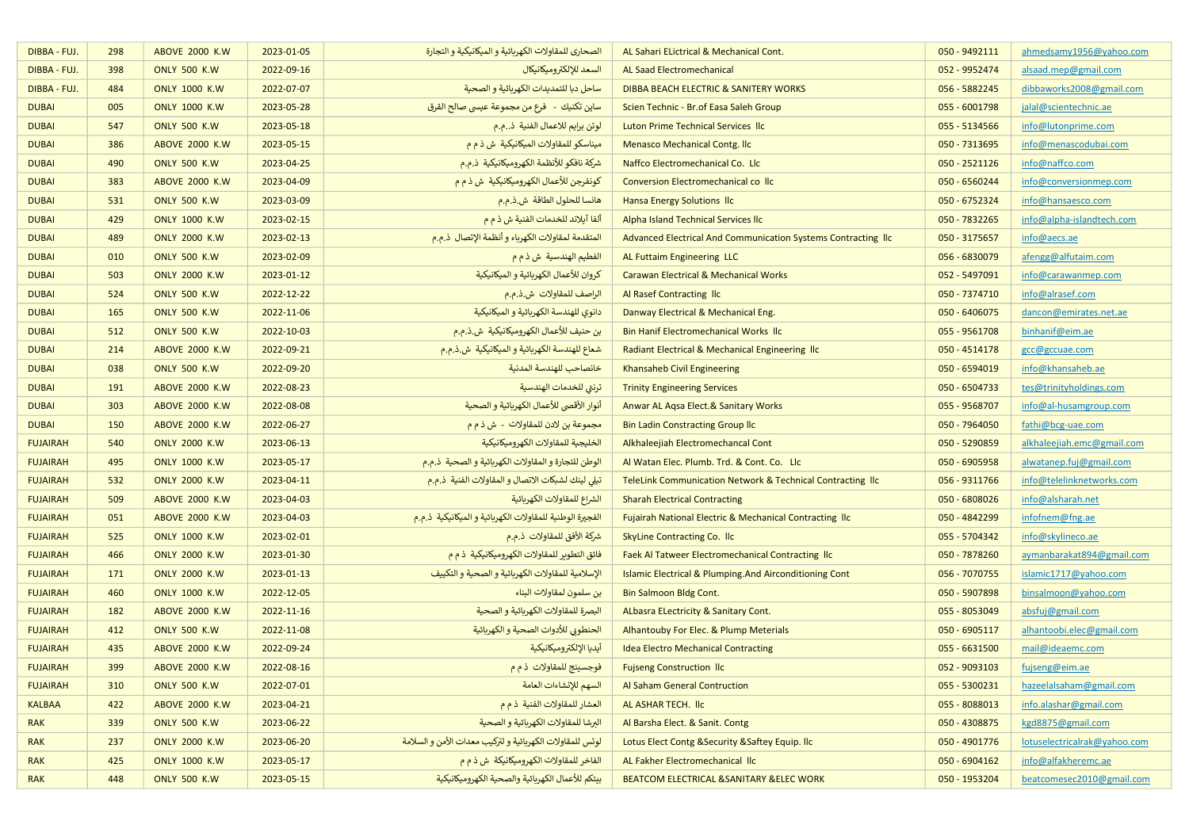| DIBBA - FUJ.    | 298 | <b>ABOVE 2000 K.W</b>  | 2023-01-05 | الصحارى للمقاولات الكهربائية و الميكانيكية و التجارة      | AL Sahari ELictrical & Mechanical Cont.                       | 050 - 9492111 | ahmedsamy1956@yahoo.com      |
|-----------------|-----|------------------------|------------|-----------------------------------------------------------|---------------------------------------------------------------|---------------|------------------------------|
| DIBBA - FUJ.    | 398 | <b>ONLY 500 K.W</b>    | 2022-09-16 | السعد للإلكتروميكانيكال                                   | <b>AL Saad Electromechanical</b>                              | 052 - 9952474 | alsaad.mep@gmail.com         |
| DIBBA - FUJ.    | 484 | <b>ONLY 1000 K.W</b>   | 2022-07-07 | ساحل دبا للتمديدات الكهربائية و الصحية                    | DIBBA BEACH ELECTRIC & SANITERY WORKS                         | 056 - 5882245 | dibbaworks2008@gmail.com     |
| <b>DUBAI</b>    | 005 | <b>ONLY 1000 K.W</b>   | 2023-05-28 | ساين تكنيك  -   فرع من مجموعة عيسى صالح القرق             | Scien Technic - Br. of Easa Saleh Group                       | 055 - 6001798 | jalal@scientechnic.ae        |
| <b>DUBAI</b>    | 547 | <b>ONLY 500 K.W.</b>   | 2023-05-18 | لوتن برايم للاعمال الفنية  ذم.م                           | Luton Prime Technical Services IIc                            | 055 - 5134566 | info@lutonprime.com          |
| <b>DUBAI</b>    | 386 | <b>ABOVE 2000 K.W.</b> | 2023-05-15 | ميناسكو للمقاولات الميكانيكية ش ذ م م                     | <b>Menasco Mechanical Contg. Ilc</b>                          | 050 - 7313695 | info@menascodubai.com        |
| <b>DUBAI</b>    | 490 | <b>ONLY 500 K.W</b>    | 2023-04-25 | شركة نافكو للأنظمة الكهروميكانيكية ذممم                   | Naffco Electromechanical Co. Llc                              | 050 - 2521126 | info@naffco.com              |
| <b>DUBAI</b>    | 383 | <b>ABOVE 2000 K.W.</b> | 2023-04-09 | كونفرجن للأعمال الكهروميكانيكية  ش ذ م م                  | Conversion Electromechanical collic                           | 050 - 6560244 | info@conversionmep.com       |
| <b>DUBAI</b>    | 531 | <b>ONLY 500 K.W</b>    | 2023-03-09 | هانسا للحلول الطاقة ش.ذ.م.م                               | <b>Hansa Energy Solutions Ilc</b>                             | 050 - 6752324 | info@hansaesco.com           |
| <b>DUBAI</b>    | 429 | <b>ONLY 1000 K.W</b>   | 2023-02-15 | ألفا آيلاند للخدمات الفنية ش ذ م م                        | Alpha Island Technical Services IIc                           | 050 - 7832265 | info@alpha-islandtech.com    |
| <b>DUBAI</b>    | 489 | <b>ONLY 2000 K.W</b>   | 2023-02-13 | المتقدمة لمقاولات الكهرباء و أنظمة الإتصال  ذ.م.م         | Advanced Electrical And Communication Systems Contracting IIc | 050 - 3175657 | info@aecs.ae                 |
| <b>DUBAI</b>    | 010 | <b>ONLY 500 K.W</b>    | 2023-02-09 | الفطيم الهندسية ش ذ م م                                   | AL Futtaim Engineering LLC                                    | 056 - 6830079 | afengg@alfutaim.com          |
| <b>DUBAI</b>    | 503 | <b>ONLY 2000 K.W</b>   | 2023-01-12 | كروان للأعمال الكهربائية و الميكانيكية                    | <b>Carawan Electrical &amp; Mechanical Works</b>              | 052 - 5497091 | info@carawanmep.com          |
| <b>DUBAI</b>    | 524 | <b>ONLY 500 K.W</b>    | 2022-12-22 | الراصف للمقاولات ش.ذ.م.م                                  | Al Rasef Contracting IIc                                      | 050 - 7374710 | info@alrasef.com             |
| <b>DUBAI</b>    | 165 | <b>ONLY 500 K.W</b>    | 2022-11-06 | دانوي للهندسة الكهربائية و الميكانيكية                    | Danway Electrical & Mechanical Eng.                           | 050 - 6406075 | dancon@emirates.net.ae       |
| <b>DUBAI</b>    | 512 | <b>ONLY 500 K.W</b>    | 2022-10-03 | بن حنيف للأعمال الكهروميكانيكية ش.ذ.م.م                   | <b>Bin Hanif Electromechanical Works Ilc</b>                  | 055 - 9561708 | binhanif@eim.ae              |
| <b>DUBAI</b>    | 214 | <b>ABOVE 2000 K.W</b>  | 2022-09-21 | شعاع للهندسة الكهربائية و الميكانيكية  ش.ذ.م.م            | Radiant Electrical & Mechanical Engineering Ilc               | 050 - 4514178 | gcc@gccuae.com               |
| <b>DUBAI</b>    | 038 | <b>ONLY 500 K.W.</b>   | 2022-09-20 | خانصاحب للهندسة المدنية                                   | Khansaheb Civil Engineering                                   | 050 - 6594019 | info@khansaheb.ae            |
| <b>DUBAI</b>    | 191 | <b>ABOVE 2000 K.W</b>  | 2022-08-23 | ترنتى للخدمات الهندسية                                    | <b>Trinity Engineering Services</b>                           | 050 - 6504733 | tes@trinityholdings.com      |
| <b>DUBAI</b>    | 303 | <b>ABOVE 2000 K.W</b>  | 2022-08-08 | أنوار الأقصى للأعمال الكهربائية و الصحية                  | Anwar AL Agsa Elect.& Sanitary Works                          | 055 - 9568707 | info@al-husamgroup.com       |
| <b>DUBAI</b>    | 150 | <b>ABOVE 2000 K.W</b>  | 2022-06-27 | مجموعة بن لادن للمقاولات - ش ذ م م                        | <b>Bin Ladin Constracting Group IIc</b>                       | 050 - 7964050 | fathi@bcg-uae.com            |
| <b>FUJAIRAH</b> | 540 | <b>ONLY 2000 K.W</b>   | 2023-06-13 | الخليجية للمقاولات الكهروميكانيكية                        | Alkhaleejiah Electromechancal Cont                            | 050 - 5290859 | alkhaleejiah.emc@gmail.com   |
| <b>FUJAIRAH</b> | 495 | <b>ONLY 1000 K.W.</b>  | 2023-05-17 | الوطن للتجارة و المقاولات الكهربائية و الصحية  ذ.م.م      | Al Watan Elec. Plumb. Trd. & Cont. Co. Llc                    | 050 - 6905958 | alwatanep.fuj@gmail.com      |
| <b>FUJAIRAH</b> | 532 | <b>ONLY 2000 K.W.</b>  | 2023-04-11 | تيلى لينك لشبكات الاتصال و المقاولات الفنية  ذ.م.م        | TeleLink Communication Network & Technical Contracting Ilc    | 056 - 9311766 | info@telelinknetworks.com    |
| <b>FUJAIRAH</b> | 509 | <b>ABOVE 2000 K.W</b>  | 2023-04-03 | الشراع للمقاولات الكهربائية                               | <b>Sharah Electrical Contracting</b>                          | 050 - 6808026 | info@alsharah.net            |
| <b>FUJAIRAH</b> | 051 | <b>ABOVE 2000 K.W</b>  | 2023-04-03 | الفجيرة الوطنية للمقاولات الكهربائية و الميكانيكية  ذ.م.م | Fujairah National Electric & Mechanical Contracting Ilc       | 050 - 4842299 | infofnem@fng.ae              |
| <b>FUJAIRAH</b> | 525 | <b>ONLY 1000 K.W</b>   | 2023-02-01 | شركة الأفق للمقاولات ذ.م.م                                | <b>SkyLine Contracting Co. Ilc</b>                            | 055 - 5704342 | info@skylineco.ae            |
| <b>FUJAIRAH</b> | 466 | <b>ONLY 2000 K.W</b>   | 2023-01-30 | فائق التطوير للمقاولات الكهروميكانيكية  ذ م م             | Faek Al Tatweer Electromechanical Contracting Ilc             | 050 - 7878260 | aymanbarakat894@gmail.com    |
| <b>FUJAIRAH</b> | 171 | <b>ONLY 2000 K.W</b>   | 2023-01-13 | الإسلامية للمقاولات الكهربائية و الصحية و التكييف         | Islamic Electrical & Plumping.And Airconditioning Cont        | 056 - 7070755 | islamic1717@yahoo.com        |
| <b>FUJAIRAH</b> | 460 | <b>ONLY 1000 K.W</b>   | 2022-12-05 | بن سلمون لمقاولات البناء                                  | <b>Bin Salmoon Bldg Cont.</b>                                 | 050 - 5907898 | binsalmoon@yahoo.com         |
| <b>FUJAIRAH</b> | 182 | <b>ABOVE 2000 K.W</b>  | 2022-11-16 | البصرة للمقاولات الكهربائية و الصحية                      | ALbasra ELectricity & Sanitary Cont.                          | 055 - 8053049 | absfuj@gmail.com             |
| <b>FUJAIRAH</b> | 412 | <b>ONLY 500 K.W</b>    | 2022-11-08 | الحنطوبي للأدوات الصحية و الكهربائية                      | Alhantouby For Elec. & Plump Meterials                        | 050 - 6905117 | alhantoobi.elec@gmail.com    |
| <b>FUJAIRAH</b> | 435 | <b>ABOVE 2000 K.W</b>  | 2022-09-24 | أيديا الإلكتروميكانيكية                                   | <b>Idea Electro Mechanical Contracting</b>                    | 055 - 6631500 | mail@ideaemc.com             |
| <b>FUJAIRAH</b> | 399 | <b>ABOVE 2000 K.W</b>  | 2022-08-16 | فوجسينج للمقاولات ذ م م                                   | <b>Fujseng Construction Ilc</b>                               | 052 - 9093103 | fujseng@eim.ae               |
| <b>FUJAIRAH</b> | 310 | <b>ONLY 500 K.W</b>    | 2022-07-01 | السهم للإنشاءات العامة                                    | Al Saham General Contruction                                  | 055 - 5300231 | hazeelalsaham@gmail.com      |
| <b>KALBAA</b>   | 422 | <b>ABOVE 2000 K.W</b>  | 2023-04-21 | العشار للمقاولات الفنية ذ م م                             | AL ASHAR TECH. IIc                                            | 055 - 8088013 | info.alashar@gmail.com       |
| <b>RAK</b>      | 339 | <b>ONLY 500 K.W</b>    | 2023-06-22 | البرشا للمقاولات الكهربائية و الصحية                      | Al Barsha Elect. & Sanit. Contg                               | 050 - 4308875 | kgd8875@gmail.com            |
| <b>RAK</b>      | 237 | <b>ONLY 2000 K.W</b>   | 2023-06-20 | لوتس للمقاولات الكهربائية و لتركيب معدات الأمن و السلامة  | Lotus Elect Contg & Security & Saftey Equip. Ilc              | 050 - 4901776 | lotuselectricalrak@yahoo.com |
| <b>RAK</b>      | 425 | <b>ONLY 1000 K.W</b>   | 2023-05-17 | الفاخر للمقاولات الكهروميكانيكة  ش ذ م م                  | AL Fakher Electromechanical IIc                               | 050 - 6904162 | info@alfakheremc.ae          |
| <b>RAK</b>      | 448 | <b>ONLY 500 K.W</b>    | 2023-05-15 | بيتكم للأعمال الكهربائية والصحية الكهروميكانيكية          | BEATCOM ELECTRICAL & SANITARY & ELEC WORK                     | 050 - 1953204 | beatcomesec2010@gmail.com    |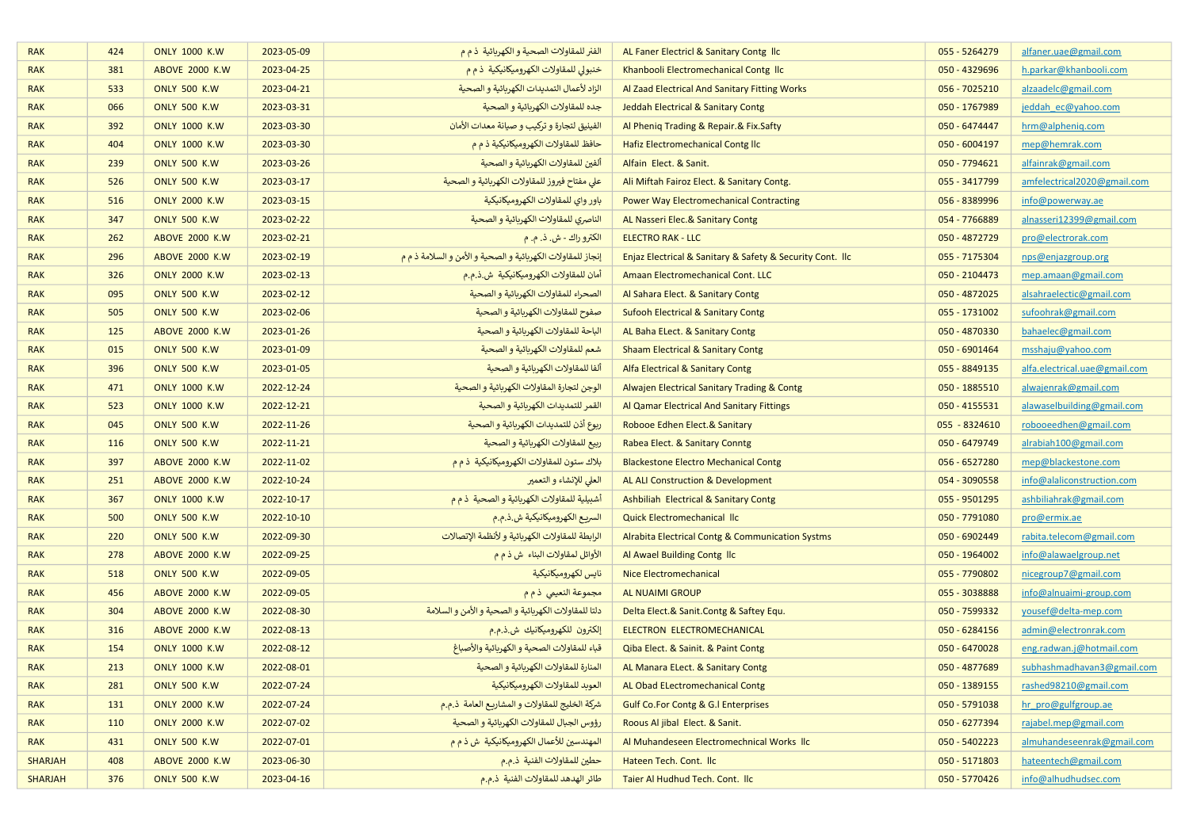| <b>RAK</b>     | 424 | <b>ONLY 1000 K.W</b>  | 2023-05-09 | الفنر للمقاولات الصحية و الكهربائية  ذ م م                  | AL Faner Electricl & Sanitary Contg Ilc                   | 055 - 5264279 | alfaner.uae@gmail.com         |
|----------------|-----|-----------------------|------------|-------------------------------------------------------------|-----------------------------------------------------------|---------------|-------------------------------|
| <b>RAK</b>     | 381 | <b>ABOVE 2000 K.W</b> | 2023-04-25 | خنبولى للمقاولات الكهروميكانيكية ذم م                       | Khanbooli Electromechanical Contg Ilc                     | 050 - 4329696 | h.parkar@khanbooli.com        |
| <b>RAK</b>     | 533 | <b>ONLY 500 K.W</b>   | 2023-04-21 | الزاد لأعمال التمديدات الكهربائية و الصحية                  | Al Zaad Electrical And Sanitary Fitting Works             | 056 - 7025210 | alzaadelc@gmail.com           |
| <b>RAK</b>     | 066 | <b>ONLY 500 K.W</b>   | 2023-03-31 | جده للمقاولات الكهربائية و الصحية                           | Jeddah Electrical & Sanitary Contg                        | 050 - 1767989 | jeddah ec@yahoo.com           |
| <b>RAK</b>     | 392 | <b>ONLY 1000 K.W</b>  | 2023-03-30 | الفينيق لتجارة و تركيب و صيانة معدات الأمان                 | Al Phenig Trading & Repair.& Fix.Safty                    | 050 - 6474447 | hrm@alphenig.com              |
| <b>RAK</b>     | 404 | <b>ONLY 1000 K.W</b>  | 2023-03-30 | حافظ للمقاولات الكهروميكانيكية ذ م م                        | Hafiz Electromechanical Contg Ilc                         | 050 - 6004197 | mep@hemrak.com                |
| <b>RAK</b>     | 239 | <b>ONLY 500 K.W</b>   | 2023-03-26 | ألفين للمقاولات الكهربائية و الصحية                         | Alfain Elect. & Sanit.                                    | 050 - 7794621 | alfainrak@gmail.com           |
| <b>RAK</b>     | 526 | <b>ONLY 500 K.W</b>   | 2023-03-17 | على مفتاح فيروز للمقاولات الكهربائية و الصحية               | Ali Miftah Fairoz Elect. & Sanitary Contg.                | 055 - 3417799 | amfelectrical2020@gmail.com   |
| <b>RAK</b>     | 516 | <b>ONLY 2000 K.W</b>  | 2023-03-15 | باور واي للمقاولات الكهروميكانيكية                          | <b>Power Way Electromechanical Contracting</b>            | 056 - 8389996 | info@powerway.ae              |
| <b>RAK</b>     | 347 | <b>ONLY 500 K.W</b>   | 2023-02-22 | الناصري للمقاولات الكهربائية و الصحية                       | AL Nasseri Elec.& Sanitary Contg                          | 054 - 7766889 | alnasseri12399@gmail.com      |
| <b>RAK</b>     | 262 | <b>ABOVE 2000 K.W</b> | 2023-02-21 | الكترو راك - ش. ذ. م. م                                     | <b>ELECTRO RAK - LLC</b>                                  | 050 - 4872729 | pro@electrorak.com            |
| <b>RAK</b>     | 296 | <b>ABOVE 2000 K.W</b> | 2023-02-19 | إنجاز للمقاولات الكهربائية و الصحية و الأمن و السلامة ذ م م | Enjaz Electrical & Sanitary & Safety & Security Cont. Ilc | 055 - 7175304 | nps@enjazgroup.org            |
| <b>RAK</b>     | 326 | <b>ONLY 2000 K.W</b>  | 2023-02-13 | أمان للمقاولات الكهروميكانيكية  ش.ذ.م.م                     | Amaan Electromechanical Cont. LLC                         | 050 - 2104473 | mep.amaan@gmail.com           |
| <b>RAK</b>     | 095 | <b>ONLY 500 K.W</b>   | 2023-02-12 | الصحراء للمقاولات الكهربائية و الصحية                       | Al Sahara Elect. & Sanitary Contg                         | 050 - 4872025 | alsahraelectic@gmail.com      |
| <b>RAK</b>     | 505 | <b>ONLY 500 K.W</b>   | 2023-02-06 | صفوح للمقاولات الكهربائية و الصحية                          | <b>Sufooh Electrical &amp; Sanitary Contg</b>             | 055 - 1731002 | sufoohrak@gmail.com           |
| <b>RAK</b>     | 125 | <b>ABOVE 2000 K.W</b> | 2023-01-26 | الباحة للمقاولات الكهربائية و الصحية                        | AL Baha ELect. & Sanitary Contg                           | 050 - 4870330 | bahaelec@gmail.com            |
| <b>RAK</b>     | 015 | <b>ONLY 500 K.W</b>   | 2023-01-09 | شعم للمقاولات الكهربائية و الصحية                           | <b>Shaam Electrical &amp; Sanitary Contg</b>              | 050 - 6901464 | msshaju@yahoo.com             |
| <b>RAK</b>     | 396 | <b>ONLY 500 K.W</b>   | 2023-01-05 | ألفا للمقاولات الكهربائية و الصحية                          | Alfa Electrical & Sanitary Contg                          | 055 - 8849135 | alfa.electrical.uae@gmail.com |
| <b>RAK</b>     | 471 | <b>ONLY 1000 K.W</b>  | 2022-12-24 | الوجن لتجارة المقاولات الكهربائية و الصحية                  | Alwajen Electrical Sanitary Trading & Contg               | 050 - 1885510 | alwajenrak@gmail.com          |
| <b>RAK</b>     | 523 | <b>ONLY 1000 K.W</b>  | 2022-12-21 | القمر للتمديدات الكهربائية و الصحية                         | Al Qamar Electrical And Sanitary Fittings                 | 050 - 4155531 | alawaselbuilding@gmail.com    |
| <b>RAK</b>     | 045 | <b>ONLY 500 K.W</b>   | 2022-11-26 | ربوع أذن للتمديدات الكهربائية و الصحية                      | Robooe Edhen Elect.& Sanitary                             | 055 - 8324610 | robooeedhen@gmail.com         |
| <b>RAK</b>     | 116 | <b>ONLY 500 K.W</b>   | 2022-11-21 | ربيع للمقاولات الكهربائية و الصحية                          | Rabea Elect. & Sanitary Conntg                            | 050 - 6479749 | alrabiah100@gmail.com         |
| <b>RAK</b>     | 397 | <b>ABOVE 2000 K.W</b> | 2022-11-02 | بلاك ستون للمقاولات الكهروميكانيكية  ذ م م                  | <b>Blackestone Electro Mechanical Contg</b>               | 056 - 6527280 | mep@blackestone.com           |
| <b>RAK</b>     | 251 | <b>ABOVE 2000 K.W</b> | 2022-10-24 | العلى للإنشاء و التعمير                                     | <b>AL ALI Construction &amp; Development</b>              | 054 - 3090558 | info@alaliconstruction.com    |
| <b>RAK</b>     | 367 | <b>ONLY 1000 K.W.</b> | 2022-10-17 | أشبيلية للمقاولات الكهربائية و الصحية  ذ م م                | <b>Ashbiliah Electrical &amp; Sanitary Contg</b>          | 055 - 9501295 | ashbiliahrak@gmail.com        |
| <b>RAK</b>     | 500 | <b>ONLY 500 K.W</b>   | 2022-10-10 | السريع الكهروميكانيكية ش.ذ.م.م                              | Quick Electromechanical IIc                               | 050 - 7791080 | pro@ermix.ae                  |
| <b>RAK</b>     | 220 | <b>ONLY 500 K.W</b>   | 2022-09-30 | الرابطة للمقاولات الكهربائية و لأنظمة الإتصالات             | Alrabita Electrical Contg & Communication Systms          | 050 - 6902449 | rabita.telecom@gmail.com      |
| <b>RAK</b>     | 278 | <b>ABOVE 2000 K.W</b> | 2022-09-25 | الأوائل لمقاولات البناء ش ذ م م                             | Al Awael Building Contg Ilc                               | 050 - 1964002 | info@alawaelgroup.net         |
| <b>RAK</b>     | 518 | <b>ONLY 500 K.W</b>   | 2022-09-05 | نايس لكهروميكانيكية                                         | Nice Electromechanical                                    | 055 - 7790802 | nicegroup7@gmail.com          |
| <b>RAK</b>     | 456 | <b>ABOVE 2000 K.W</b> | 2022-09-05 | مجموعة النعيمي ذ م م                                        | AL NUAIMI GROUP                                           | 055 - 3038888 | info@alnuaimi-group.com       |
| <b>RAK</b>     | 304 | <b>ABOVE 2000 K.W</b> | 2022-08-30 | دلتا للمقاولات الكهربائية و الصحية و الأمن و السلامة        | Delta Elect.& Sanit.Contg & Saftey Equ.                   | 050 - 7599332 | yousef@delta-mep.com          |
| <b>RAK</b>     | 316 | <b>ABOVE 2000 K.W</b> | 2022-08-13 | إلكترون للكهروميكانيك ش.ذ.م.م                               | ELECTRON ELECTROMECHANICAL                                | 050 - 6284156 | admin@electronrak.com         |
| <b>RAK</b>     | 154 | <b>ONLY 1000 K.W</b>  | 2022-08-12 | قباء للمقاولات الصحية و الكهربائية والأصباغ                 | Qiba Elect. & Sainit. & Paint Contg                       | 050 - 6470028 | eng.radwan.j@hotmail.com      |
| <b>RAK</b>     | 213 | <b>ONLY 1000 K.W</b>  | 2022-08-01 | المنارة للمقاولات الكهربائية و الصحية                       | AL Manara ELect. & Sanitary Contg                         | 050 - 4877689 | subhashmadhavan3@gmail.com    |
| <b>RAK</b>     | 281 | <b>ONLY 500 K.W</b>   | 2022-07-24 | العوبد للمقاولات الكهروميكانيكية                            | AL Obad ELectromechanical Contg                           | 050 - 1389155 | rashed98210@gmail.com         |
| <b>RAK</b>     | 131 | <b>ONLY 2000 K.W</b>  | 2022-07-24 | شركة الخليج للمقاولات و المشاريع العامة  ذ.م.م              | <b>Gulf Co.For Contg &amp; G.I Enterprises</b>            | 050 - 5791038 | hr pro@gulfgroup.ae           |
| <b>RAK</b>     | 110 | <b>ONLY 2000 K.W</b>  | 2022-07-02 | رؤوس الجبال للمقاولات الكهربائية و الصحية                   | Roous Al jibal Elect. & Sanit.                            | 050 - 6277394 | rajabel.mep@gmail.com         |
| <b>RAK</b>     | 431 | <b>ONLY 500 K.W</b>   | 2022-07-01 | المهندسين للأعمال الكهروميكانيكية  ش ذ م م                  | Al Muhandeseen Electromechnical Works IIc                 | 050 - 5402223 | almuhandeseenrak@gmail.com    |
| <b>SHARJAH</b> | 408 | <b>ABOVE 2000 K.W</b> | 2023-06-30 | حطين للمقاولات الفنية ذ.م.م                                 | Hateen Tech. Cont. Ilc                                    | 050 - 5171803 | hateentech@gmail.com          |
| <b>SHARJAH</b> | 376 | <b>ONLY 500 K.W</b>   | 2023-04-16 | طائر الهدهد للمقاولات الفنية  ذ.م.م                         | Taier Al Hudhud Tech. Cont. Ilc                           | 050 - 5770426 | info@alhudhudsec.com          |